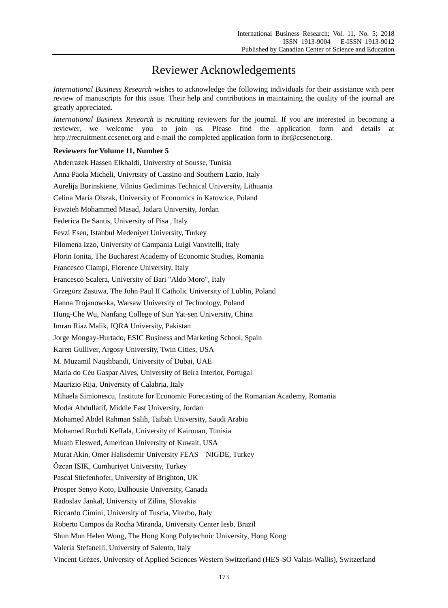## Reviewer Acknowledgements

*International Business Research* wishes to acknowledge the following individuals for their assistance with peer review of manuscripts for this issue. Their help and contributions in maintaining the quality of the journal are greatly appreciated.

*International Business Research* is recruiting reviewers for the journal. If you are interested in becoming a reviewer, we welcome you to join us. Please find the application form and details at http://recruitment.ccsenet.org and e-mail the completed application form to ibr@ccsenet.org.

## **Reviewers for Volume 11, Number 5**

Abderrazek Hassen Elkhaldi, University of Sousse, Tunisia Anna Paola Micheli, Univrtsity of Cassino and Southern Lazio, Italy Aurelija Burinskiene, Vilnius Gediminas Technical University, Lithuania Celina Maria Olszak, University of Economics in Katowice, Poland Fawzieh Mohammed Masad, Jadara University, Jordan Federica De Santis, University of Pisa , Italy Fevzi Esen, Istanbul Medeniyet University, Turkey Filomena Izzo, University of Campania Luigi Vanvitelli, Italy Florin Ionita, The Bucharest Academy of Economic Studies, Romania Francesco Ciampi, Florence University, Italy Francesco Scalera, University of Bari "Aldo Moro", Italy Grzegorz Zasuwa, The John Paul II Catholic University of Lublin, Poland Hanna Trojanowska, Warsaw University of Technology, Poland Hung-Che Wu, Nanfang College of Sun Yat-sen University, China Imran Riaz Malik, IQRA University, Pakistan Jorge Mongay-Hurtado, ESIC Business and Marketing School, Spain Karen Gulliver, Argosy University, Twin Cities, USA M. Muzamil Naqshbandi, University of Dubai, UAE Maria do Céu Gaspar Alves, University of Beira Interior, Portugal Maurizio Rija, University of Calabria, Italy Mihaela Simionescu, Institute for Economic Forecasting of the Romanian Academy, Romania Modar Abdullatif, Middle East University, Jordan Mohamed Abdel Rahman Salih, Taibah University, Saudi Arabia Mohamed Rochdi Keffala, University of Kairouan, Tunisia Muath Eleswed, American University of Kuwait, USA Murat Akin, Omer Halisdemir University FEAS – NIGDE, Turkey Özcan IŞIK, Cumhuriyet University, Turkey Pascal Stiefenhofer, University of Brighton, UK Prosper Senyo Koto, Dalhousie University, Canada Radoslav Jankal, University of Zilina, Slovakia Riccardo Cimini, University of Tuscia, Viterbo, Italy Roberto Campos da Rocha Miranda, University Center Iesb, Brazil Shun Mun Helen Wong, The Hong Kong Polytechnic University, Hong Kong Valeria Stefanelli, University of Salento, Italy Vincent Grèzes, University of Applied Sciences Western Switzerland (HES-SO Valais-Wallis), Switzerland